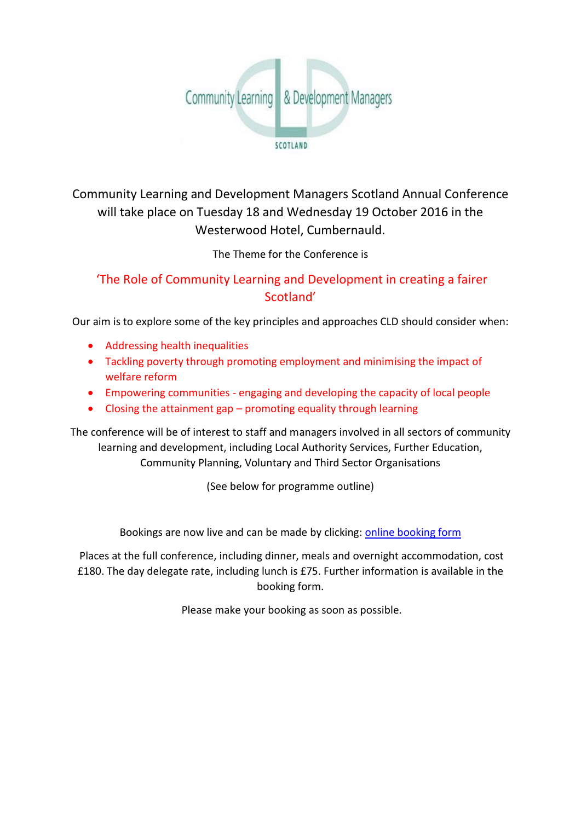

Community Learning and Development Managers Scotland Annual Conference will take place on Tuesday 18 and Wednesday 19 October 2016 in the Westerwood Hotel, Cumbernauld.

The Theme for the Conference is

## 'The Role of Community Learning and Development in creating a fairer Scotland'

Our aim is to explore some of the key principles and approaches CLD should consider when:

- Addressing health inequalities
- Tackling poverty through promoting employment and minimising the impact of welfare reform
- Empowering communities engaging and developing the capacity of local people
- Closing the attainment gap promoting equality through learning

The conference will be of interest to staff and managers involved in all sectors of community learning and development, including Local Authority Services, Further Education, Community Planning, Voluntary and Third Sector Organisations

(See below for programme outline)

Bookings are now live and can be made by clicking: [online booking form](http://www.youthlinkscotland.org/Bookings/BookingForm.asp?ID=245&MainID=&UserID=&ItemID=112386672)

Places at the full conference, including dinner, meals and overnight accommodation, cost £180. The day delegate rate, including lunch is £75. Further information is available in the booking form.

Please make your booking as soon as possible.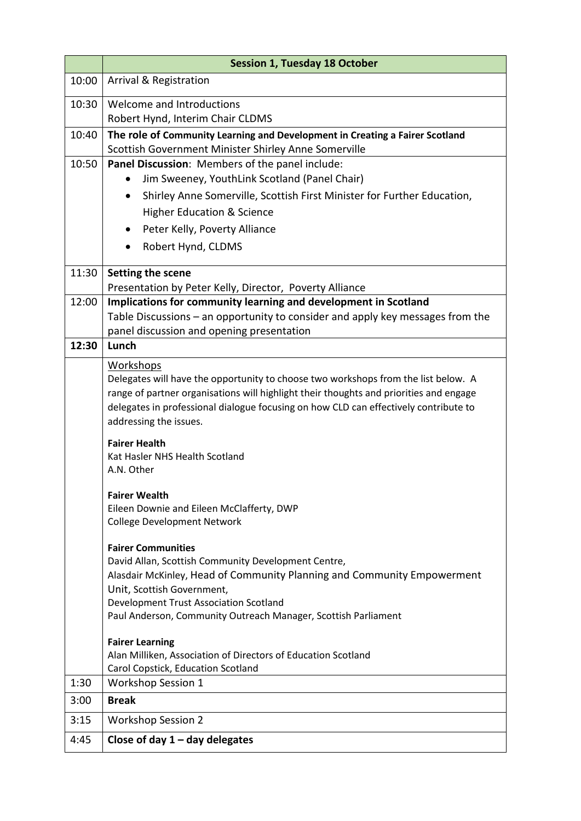|       | <b>Session 1, Tuesday 18 October</b>                                                                                          |
|-------|-------------------------------------------------------------------------------------------------------------------------------|
| 10:00 | <b>Arrival &amp; Registration</b>                                                                                             |
| 10:30 | Welcome and Introductions                                                                                                     |
|       | Robert Hynd, Interim Chair CLDMS                                                                                              |
| 10:40 | The role of Community Learning and Development in Creating a Fairer Scotland                                                  |
|       | Scottish Government Minister Shirley Anne Somerville                                                                          |
| 10:50 | Panel Discussion: Members of the panel include:<br>Jim Sweeney, YouthLink Scotland (Panel Chair)                              |
|       |                                                                                                                               |
|       | Shirley Anne Somerville, Scottish First Minister for Further Education,<br>$\bullet$<br><b>Higher Education &amp; Science</b> |
|       | Peter Kelly, Poverty Alliance<br>$\bullet$                                                                                    |
|       |                                                                                                                               |
|       | Robert Hynd, CLDMS<br>$\bullet$                                                                                               |
| 11:30 | Setting the scene                                                                                                             |
|       | Presentation by Peter Kelly, Director, Poverty Alliance                                                                       |
| 12:00 | Implications for community learning and development in Scotland                                                               |
|       | Table Discussions - an opportunity to consider and apply key messages from the<br>panel discussion and opening presentation   |
| 12:30 | Lunch                                                                                                                         |
|       |                                                                                                                               |
|       | <b>Workshops</b><br>Delegates will have the opportunity to choose two workshops from the list below. A                        |
|       | range of partner organisations will highlight their thoughts and priorities and engage                                        |
|       | delegates in professional dialogue focusing on how CLD can effectively contribute to                                          |
|       | addressing the issues.                                                                                                        |
|       | <b>Fairer Health</b>                                                                                                          |
|       | Kat Hasler NHS Health Scotland                                                                                                |
|       | A.N. Other                                                                                                                    |
|       | <b>Fairer Wealth</b>                                                                                                          |
|       | Eileen Downie and Eileen McClafferty, DWP                                                                                     |
|       | <b>College Development Network</b>                                                                                            |
|       | <b>Fairer Communities</b>                                                                                                     |
|       | David Allan, Scottish Community Development Centre,                                                                           |
|       | Alasdair McKinley, Head of Community Planning and Community Empowerment                                                       |
|       | Unit, Scottish Government,                                                                                                    |
|       | Development Trust Association Scotland<br>Paul Anderson, Community Outreach Manager, Scottish Parliament                      |
|       |                                                                                                                               |
|       | <b>Fairer Learning</b>                                                                                                        |
|       | Alan Milliken, Association of Directors of Education Scotland                                                                 |
| 1:30  | Carol Copstick, Education Scotland<br><b>Workshop Session 1</b>                                                               |
| 3:00  | <b>Break</b>                                                                                                                  |
| 3:15  | <b>Workshop Session 2</b>                                                                                                     |
| 4:45  | Close of day $1 -$ day delegates                                                                                              |
|       |                                                                                                                               |